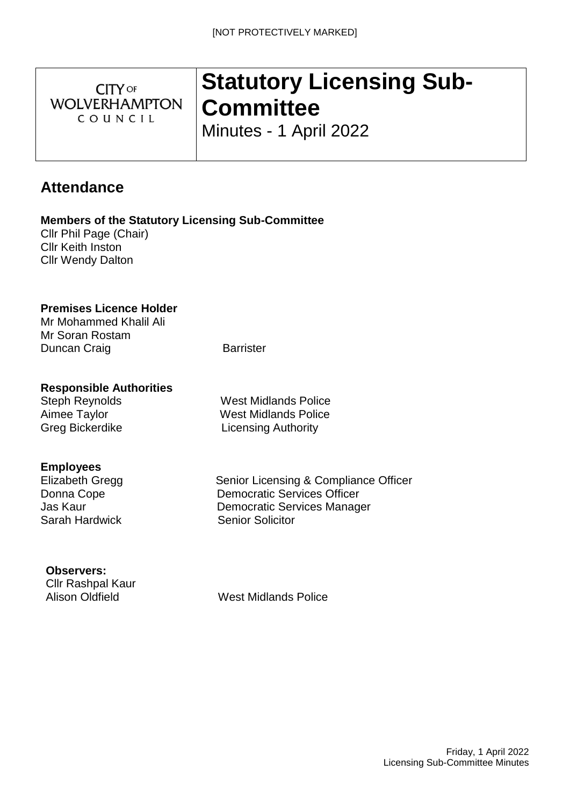**CITY OF WOLVERHAMPTON** COUNCIL

# **Statutory Licensing Sub-Committee**

Minutes - 1 April 2022

# **Attendance**

**Members of the Statutory Licensing Sub-Committee**

Cllr Phil Page (Chair) Cllr Keith Inston Cllr Wendy Dalton

## **Premises Licence Holder**

Mr Mohammed Khalil Ali Mr Soran Rostam Duncan Craig **Barrister** Barrister

## **Responsible Authorities**

# **Employees**

Sarah Hardwick Senior Solicitor

Steph Reynolds West Midlands Police Aimee Taylor West Midlands Police Greg Bickerdike Licensing Authority

Elizabeth Gregg Senior Licensing & Compliance Officer Donna Cope **Democratic Services Officer** Jas Kaur Democratic Services Manager

#### **Observers:**

Cllr Rashpal Kaur

Alison Oldfield West Midlands Police

Friday, 1 April 2022 Licensing Sub-Committee Minutes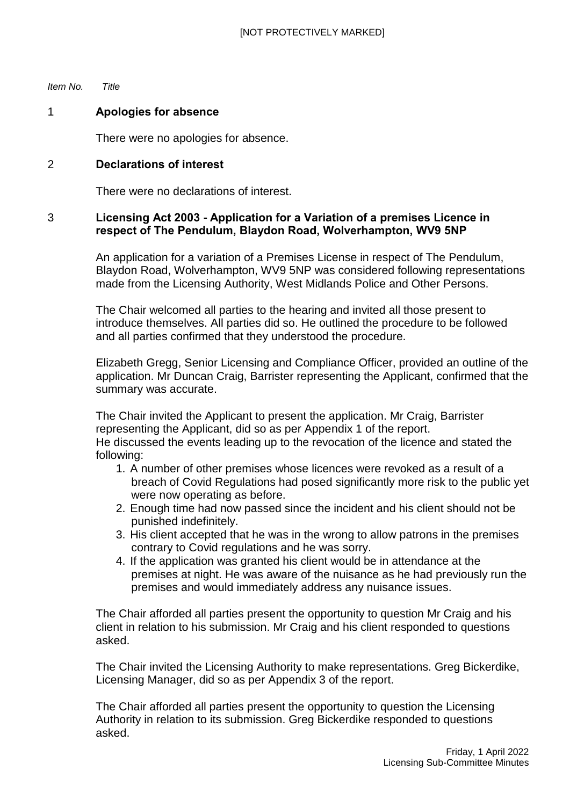*Item No. Title*

#### 1 **Apologies for absence**

There were no apologies for absence.

#### 2 **Declarations of interest**

There were no declarations of interest.

#### 3 **Licensing Act 2003 - Application for a Variation of a premises Licence in respect of The Pendulum, Blaydon Road, Wolverhampton, WV9 5NP**

An application for a variation of a Premises License in respect of The Pendulum, Blaydon Road, Wolverhampton, WV9 5NP was considered following representations made from the Licensing Authority, West Midlands Police and Other Persons.

The Chair welcomed all parties to the hearing and invited all those present to introduce themselves. All parties did so. He outlined the procedure to be followed and all parties confirmed that they understood the procedure.

Elizabeth Gregg, Senior Licensing and Compliance Officer, provided an outline of the application. Mr Duncan Craig, Barrister representing the Applicant, confirmed that the summary was accurate.

The Chair invited the Applicant to present the application. Mr Craig, Barrister representing the Applicant, did so as per Appendix 1 of the report. He discussed the events leading up to the revocation of the licence and stated the following:

- 1. A number of other premises whose licences were revoked as a result of a breach of Covid Regulations had posed significantly more risk to the public yet were now operating as before.
- 2. Enough time had now passed since the incident and his client should not be punished indefinitely.
- 3. His client accepted that he was in the wrong to allow patrons in the premises contrary to Covid regulations and he was sorry.
- 4. If the application was granted his client would be in attendance at the premises at night. He was aware of the nuisance as he had previously run the premises and would immediately address any nuisance issues.

The Chair afforded all parties present the opportunity to question Mr Craig and his client in relation to his submission. Mr Craig and his client responded to questions asked.

The Chair invited the Licensing Authority to make representations. Greg Bickerdike, Licensing Manager, did so as per Appendix 3 of the report.

The Chair afforded all parties present the opportunity to question the Licensing Authority in relation to its submission. Greg Bickerdike responded to questions asked.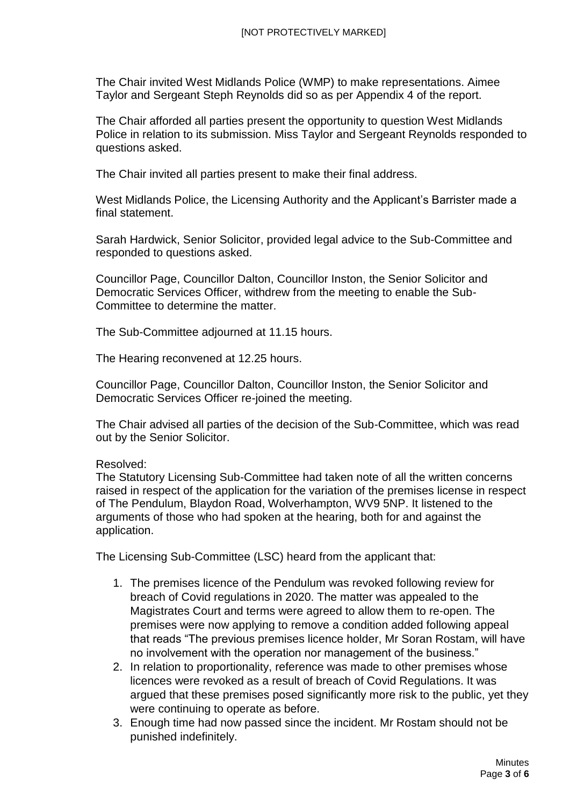The Chair invited West Midlands Police (WMP) to make representations. Aimee Taylor and Sergeant Steph Reynolds did so as per Appendix 4 of the report.

The Chair afforded all parties present the opportunity to question West Midlands Police in relation to its submission. Miss Taylor and Sergeant Reynolds responded to questions asked.

The Chair invited all parties present to make their final address.

West Midlands Police, the Licensing Authority and the Applicant's Barrister made a final statement.

Sarah Hardwick, Senior Solicitor, provided legal advice to the Sub-Committee and responded to questions asked.

Councillor Page, Councillor Dalton, Councillor Inston, the Senior Solicitor and Democratic Services Officer, withdrew from the meeting to enable the Sub-Committee to determine the matter.

The Sub-Committee adjourned at 11.15 hours.

The Hearing reconvened at 12.25 hours.

Councillor Page, Councillor Dalton, Councillor Inston, the Senior Solicitor and Democratic Services Officer re-joined the meeting.

The Chair advised all parties of the decision of the Sub-Committee, which was read out by the Senior Solicitor.

#### Resolved:

The Statutory Licensing Sub-Committee had taken note of all the written concerns raised in respect of the application for the variation of the premises license in respect of The Pendulum, Blaydon Road, Wolverhampton, WV9 5NP. It listened to the arguments of those who had spoken at the hearing, both for and against the application.

The Licensing Sub-Committee (LSC) heard from the applicant that:

- 1. The premises licence of the Pendulum was revoked following review for breach of Covid regulations in 2020. The matter was appealed to the Magistrates Court and terms were agreed to allow them to re-open. The premises were now applying to remove a condition added following appeal that reads "The previous premises licence holder, Mr Soran Rostam, will have no involvement with the operation nor management of the business."
- 2. In relation to proportionality, reference was made to other premises whose licences were revoked as a result of breach of Covid Regulations. It was argued that these premises posed significantly more risk to the public, yet they were continuing to operate as before.
- 3. Enough time had now passed since the incident. Mr Rostam should not be punished indefinitely.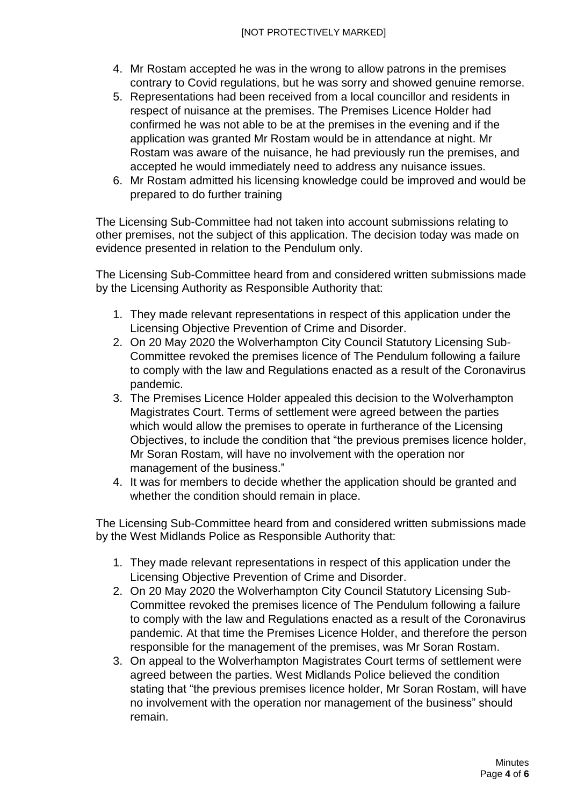- 4. Mr Rostam accepted he was in the wrong to allow patrons in the premises contrary to Covid regulations, but he was sorry and showed genuine remorse.
- 5. Representations had been received from a local councillor and residents in respect of nuisance at the premises. The Premises Licence Holder had confirmed he was not able to be at the premises in the evening and if the application was granted Mr Rostam would be in attendance at night. Mr Rostam was aware of the nuisance, he had previously run the premises, and accepted he would immediately need to address any nuisance issues.
- 6. Mr Rostam admitted his licensing knowledge could be improved and would be prepared to do further training

The Licensing Sub-Committee had not taken into account submissions relating to other premises, not the subject of this application. The decision today was made on evidence presented in relation to the Pendulum only.

The Licensing Sub-Committee heard from and considered written submissions made by the Licensing Authority as Responsible Authority that:

- 1. They made relevant representations in respect of this application under the Licensing Objective Prevention of Crime and Disorder.
- 2. On 20 May 2020 the Wolverhampton City Council Statutory Licensing Sub-Committee revoked the premises licence of The Pendulum following a failure to comply with the law and Regulations enacted as a result of the Coronavirus pandemic.
- 3. The Premises Licence Holder appealed this decision to the Wolverhampton Magistrates Court. Terms of settlement were agreed between the parties which would allow the premises to operate in furtherance of the Licensing Objectives, to include the condition that "the previous premises licence holder, Mr Soran Rostam, will have no involvement with the operation nor management of the business."
- 4. It was for members to decide whether the application should be granted and whether the condition should remain in place.

The Licensing Sub-Committee heard from and considered written submissions made by the West Midlands Police as Responsible Authority that:

- 1. They made relevant representations in respect of this application under the Licensing Objective Prevention of Crime and Disorder.
- 2. On 20 May 2020 the Wolverhampton City Council Statutory Licensing Sub-Committee revoked the premises licence of The Pendulum following a failure to comply with the law and Regulations enacted as a result of the Coronavirus pandemic. At that time the Premises Licence Holder, and therefore the person responsible for the management of the premises, was Mr Soran Rostam.
- 3. On appeal to the Wolverhampton Magistrates Court terms of settlement were agreed between the parties. West Midlands Police believed the condition stating that "the previous premises licence holder, Mr Soran Rostam, will have no involvement with the operation nor management of the business" should remain.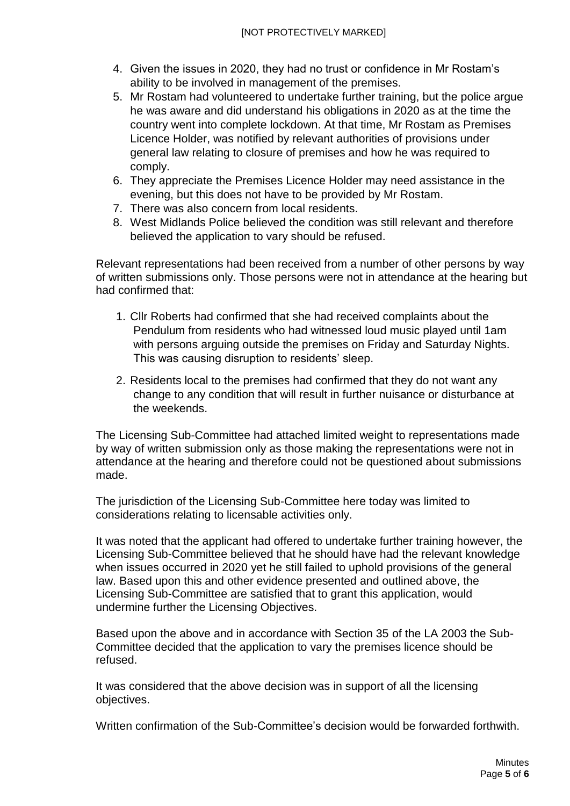- 4. Given the issues in 2020, they had no trust or confidence in Mr Rostam's ability to be involved in management of the premises.
- 5. Mr Rostam had volunteered to undertake further training, but the police argue he was aware and did understand his obligations in 2020 as at the time the country went into complete lockdown. At that time, Mr Rostam as Premises Licence Holder, was notified by relevant authorities of provisions under general law relating to closure of premises and how he was required to comply.
- 6. They appreciate the Premises Licence Holder may need assistance in the evening, but this does not have to be provided by Mr Rostam.
- 7. There was also concern from local residents.
- 8. West Midlands Police believed the condition was still relevant and therefore believed the application to vary should be refused.

Relevant representations had been received from a number of other persons by way of written submissions only. Those persons were not in attendance at the hearing but had confirmed that:

- 1. Cllr Roberts had confirmed that she had received complaints about the Pendulum from residents who had witnessed loud music played until 1am with persons arguing outside the premises on Friday and Saturday Nights. This was causing disruption to residents' sleep.
- 2. Residents local to the premises had confirmed that they do not want any change to any condition that will result in further nuisance or disturbance at the weekends.

The Licensing Sub-Committee had attached limited weight to representations made by way of written submission only as those making the representations were not in attendance at the hearing and therefore could not be questioned about submissions made.

The jurisdiction of the Licensing Sub-Committee here today was limited to considerations relating to licensable activities only.

It was noted that the applicant had offered to undertake further training however, the Licensing Sub-Committee believed that he should have had the relevant knowledge when issues occurred in 2020 yet he still failed to uphold provisions of the general law. Based upon this and other evidence presented and outlined above, the Licensing Sub-Committee are satisfied that to grant this application, would undermine further the Licensing Objectives.

Based upon the above and in accordance with Section 35 of the LA 2003 the Sub-Committee decided that the application to vary the premises licence should be refused.

It was considered that the above decision was in support of all the licensing objectives.

Written confirmation of the Sub-Committee's decision would be forwarded forthwith.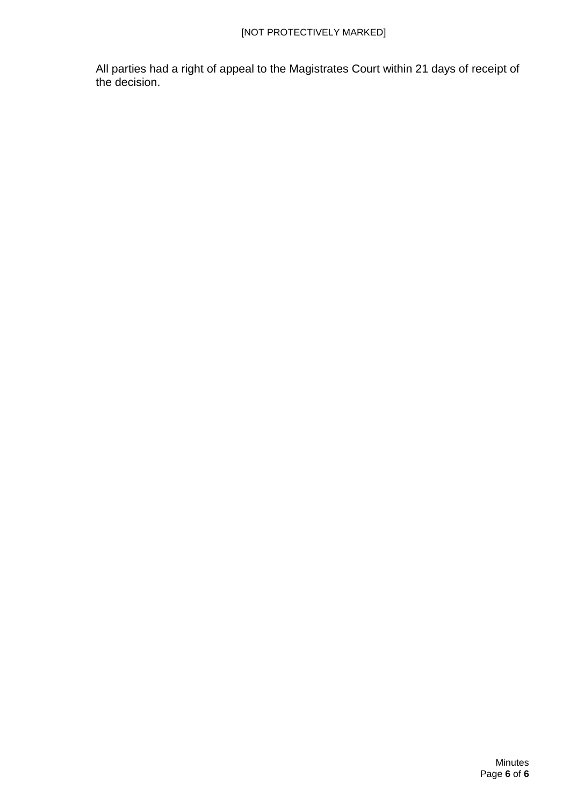All parties had a right of appeal to the Magistrates Court within 21 days of receipt of the decision.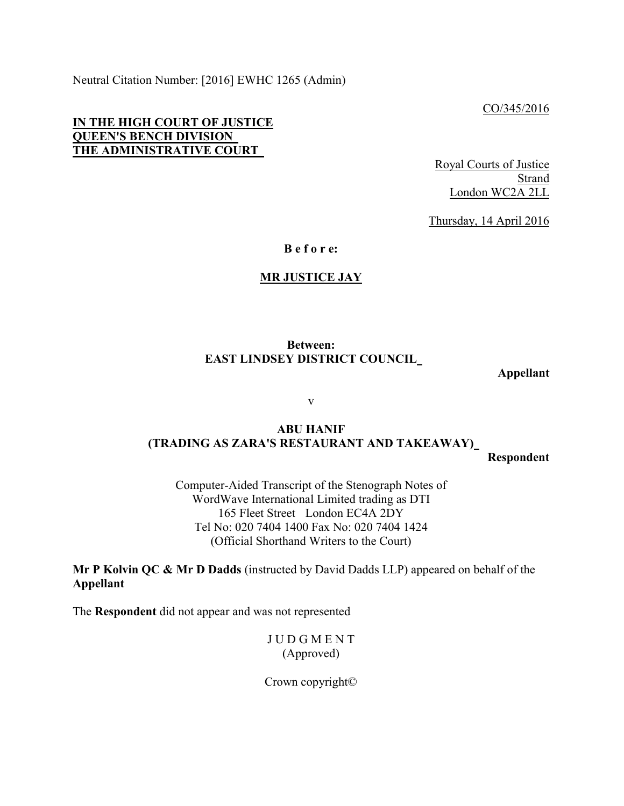Neutral Citation Number: [2016] EWHC 1265 (Admin)

CO/345/2016

#### **IN THE HIGH COURT OF JUSTICE QUEEN'S BENCH DIVISION THE ADMINISTRATIVE COURT**

Royal Courts of Justice Strand London WC2A 2LL

Thursday, 14 April 2016

**B e f o r e:**

#### **MR JUSTICE JAY**

#### **Between: EAST LINDSEY DISTRICT COUNCIL**

**Appellant**

v

# **ABU HANIF (TRADING AS ZARA'S RESTAURANT AND TAKEAWAY)**

**Respondent**

Computer-Aided Transcript of the Stenograph Notes of WordWave International Limited trading as DTI 165 Fleet Street London EC4A 2DY Tel No: 020 7404 1400 Fax No: 020 7404 1424 (Official Shorthand Writers to the Court)

**Mr P Kolvin QC & Mr D Dadds** (instructed by David Dadds LLP) appeared on behalf of the **Appellant**

The **Respondent** did not appear and was not represented

J U D G M E N T (Approved)

Crown copyright©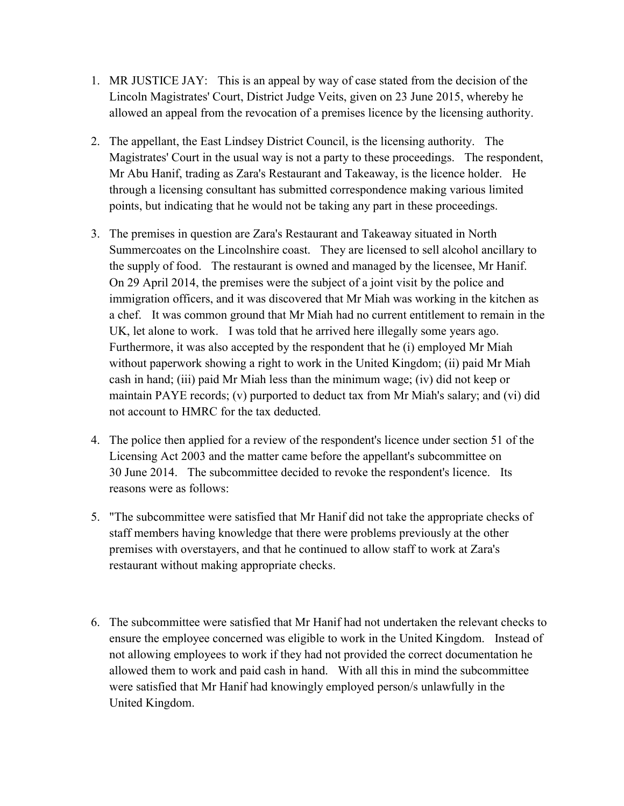- 1. MR JUSTICE JAY: This is an appeal by way of case stated from the decision of the Lincoln Magistrates' Court, District Judge Veits, given on 23 June 2015, whereby he allowed an appeal from the revocation of a premises licence by the licensing authority.
- 2. The appellant, the East Lindsey District Council, is the licensing authority. The Magistrates' Court in the usual way is not a party to these proceedings. The respondent, Mr Abu Hanif, trading as Zara's Restaurant and Takeaway, is the licence holder. He through a licensing consultant has submitted correspondence making various limited points, but indicating that he would not be taking any part in these proceedings.
- 3. The premises in question are Zara's Restaurant and Takeaway situated in North Summercoates on the Lincolnshire coast. They are licensed to sell alcohol ancillary to the supply of food. The restaurant is owned and managed by the licensee, Mr Hanif. On 29 April 2014, the premises were the subject of a joint visit by the police and immigration officers, and it was discovered that Mr Miah was working in the kitchen as a chef. It was common ground that Mr Miah had no current entitlement to remain in the UK, let alone to work. I was told that he arrived here illegally some years ago. Furthermore, it was also accepted by the respondent that he (i) employed Mr Miah without paperwork showing a right to work in the United Kingdom; (ii) paid Mr Miah cash in hand; (iii) paid Mr Miah less than the minimum wage; (iv) did not keep or maintain PAYE records; (v) purported to deduct tax from Mr Miah's salary; and (vi) did not account to HMRC for the tax deducted.
- 4. The police then applied for a review of the respondent's licence under section 51 of the Licensing Act 2003 and the matter came before the appellant's subcommittee on 30 June 2014. The subcommittee decided to revoke the respondent's licence. Its reasons were as follows:
- 5. "The subcommittee were satisfied that Mr Hanif did not take the appropriate checks of staff members having knowledge that there were problems previously at the other premises with overstayers, and that he continued to allow staff to work at Zara's restaurant without making appropriate checks.
- 6. The subcommittee were satisfied that Mr Hanif had not undertaken the relevant checks to ensure the employee concerned was eligible to work in the United Kingdom. Instead of not allowing employees to work if they had not provided the correct documentation he allowed them to work and paid cash in hand. With all this in mind the subcommittee were satisfied that Mr Hanif had knowingly employed person/s unlawfully in the United Kingdom.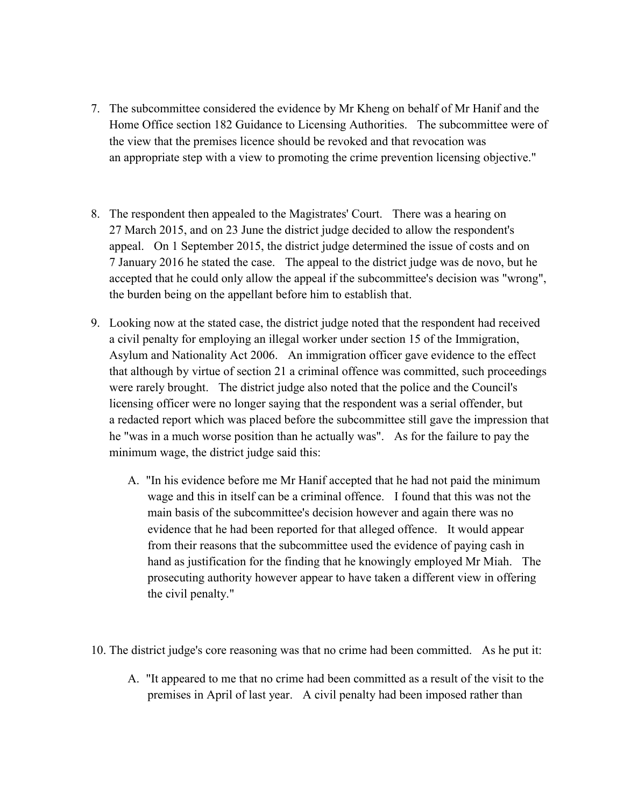- 7. The subcommittee considered the evidence by Mr Kheng on behalf of Mr Hanif and the Home Office section 182 Guidance to Licensing Authorities. The subcommittee were of the view that the premises licence should be revoked and that revocation was an appropriate step with a view to promoting the crime prevention licensing objective."
- 8. The respondent then appealed to the Magistrates' Court. There was a hearing on 27 March 2015, and on 23 June the district judge decided to allow the respondent's appeal. On 1 September 2015, the district judge determined the issue of costs and on 7 January 2016 he stated the case. The appeal to the district judge was de novo, but he accepted that he could only allow the appeal if the subcommittee's decision was "wrong", the burden being on the appellant before him to establish that.
- 9. Looking now at the stated case, the district judge noted that the respondent had received a civil penalty for employing an illegal worker under section 15 of the Immigration, Asylum and Nationality Act 2006. An immigration officer gave evidence to the effect that although by virtue of section 21 a criminal offence was committed, such proceedings were rarely brought. The district judge also noted that the police and the Council's licensing officer were no longer saying that the respondent was a serial offender, but a redacted report which was placed before the subcommittee still gave the impression that he "was in a much worse position than he actually was". As for the failure to pay the minimum wage, the district judge said this:
	- A. "In his evidence before me Mr Hanif accepted that he had not paid the minimum wage and this in itself can be a criminal offence. I found that this was not the main basis of the subcommittee's decision however and again there was no evidence that he had been reported for that alleged offence. It would appear from their reasons that the subcommittee used the evidence of paying cash in hand as justification for the finding that he knowingly employed Mr Miah. The prosecuting authority however appear to have taken a different view in offering the civil penalty."
- 10. The district judge's core reasoning was that no crime had been committed. As he put it:
	- A. "It appeared to me that no crime had been committed as a result of the visit to the premises in April of last year. A civil penalty had been imposed rather than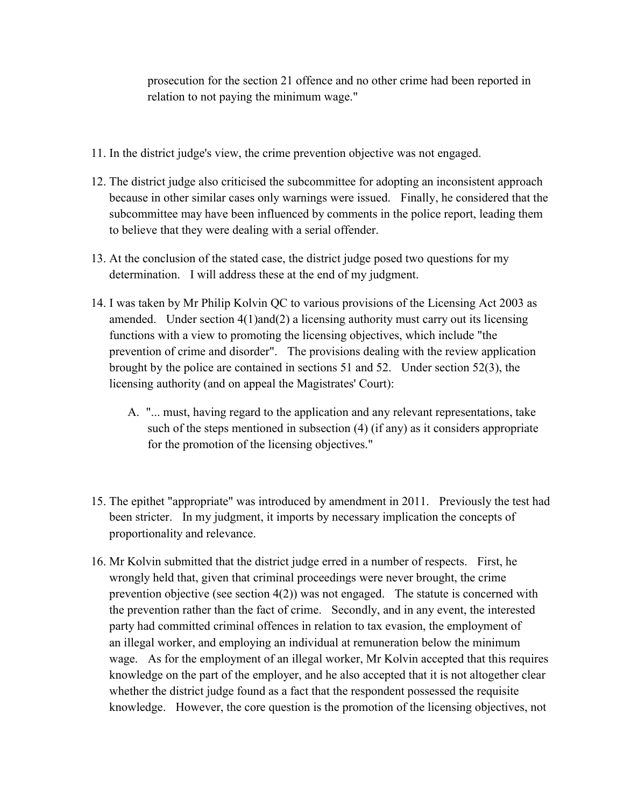prosecution for the section 21 offence and no other crime had been reported in relation to not paying the minimum wage."

- 11. In the district judge's view, the crime prevention objective was not engaged.
- 12. The district judge also criticised the subcommittee for adopting an inconsistent approach because in other similar cases only warnings were issued. Finally, he considered that the subcommittee may have been influenced by comments in the police report, leading them to believe that they were dealing with a serial offender.
- 13. At the conclusion of the stated case, the district judge posed two questions for my determination. I will address these at the end of my judgment.
- 14. I was taken by Mr Philip Kolvin QC to various provisions of the Licensing Act 2003 as amended. Under section 4(1)and(2) a licensing authority must carry out its licensing functions with a view to promoting the licensing objectives, which include "the prevention of crime and disorder". The provisions dealing with the review application brought by the police are contained in sections 51 and 52. Under section 52(3), the licensing authority (and on appeal the Magistrates' Court):
	- A. "... must, having regard to the application and any relevant representations, take such of the steps mentioned in subsection (4) (if any) as it considers appropriate for the promotion of the licensing objectives."
- 15. The epithet "appropriate" was introduced by amendment in 2011. Previously the test had been stricter. In my judgment, it imports by necessary implication the concepts of proportionality and relevance.
- 16. Mr Kolvin submitted that the district judge erred in a number of respects. First, he wrongly held that, given that criminal proceedings were never brought, the crime prevention objective (see section 4(2)) was not engaged. The statute is concerned with the prevention rather than the fact of crime. Secondly, and in any event, the interested party had committed criminal offences in relation to tax evasion, the employment of an illegal worker, and employing an individual at remuneration below the minimum wage. As for the employment of an illegal worker, Mr Kolvin accepted that this requires knowledge on the part of the employer, and he also accepted that it is not altogether clear whether the district judge found as a fact that the respondent possessed the requisite knowledge. However, the core question is the promotion of the licensing objectives, not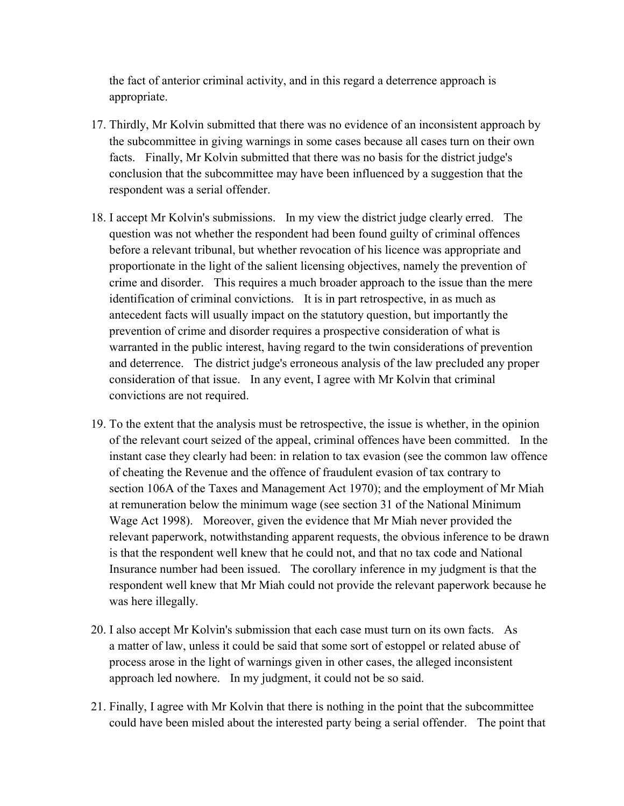the fact of anterior criminal activity, and in this regard a deterrence approach is appropriate.

- 17. Thirdly, Mr Kolvin submitted that there was no evidence of an inconsistent approach by the subcommittee in giving warnings in some cases because all cases turn on their own facts. Finally, Mr Kolvin submitted that there was no basis for the district judge's conclusion that the subcommittee may have been influenced by a suggestion that the respondent was a serial offender.
- 18. I accept Mr Kolvin's submissions. In my view the district judge clearly erred. The question was not whether the respondent had been found guilty of criminal offences before a relevant tribunal, but whether revocation of his licence was appropriate and proportionate in the light of the salient licensing objectives, namely the prevention of crime and disorder. This requires a much broader approach to the issue than the mere identification of criminal convictions. It is in part retrospective, in as much as antecedent facts will usually impact on the statutory question, but importantly the prevention of crime and disorder requires a prospective consideration of what is warranted in the public interest, having regard to the twin considerations of prevention and deterrence. The district judge's erroneous analysis of the law precluded any proper consideration of that issue. In any event, I agree with Mr Kolvin that criminal convictions are not required.
- 19. To the extent that the analysis must be retrospective, the issue is whether, in the opinion of the relevant court seized of the appeal, criminal offences have been committed. In the instant case they clearly had been: in relation to tax evasion (see the common law offence of cheating the Revenue and the offence of fraudulent evasion of tax contrary to section 106A of the Taxes and Management Act 1970); and the employment of Mr Miah at remuneration below the minimum wage (see section 31 of the National Minimum Wage Act 1998). Moreover, given the evidence that Mr Miah never provided the relevant paperwork, notwithstanding apparent requests, the obvious inference to be drawn is that the respondent well knew that he could not, and that no tax code and National Insurance number had been issued. The corollary inference in my judgment is that the respondent well knew that Mr Miah could not provide the relevant paperwork because he was here illegally.
- 20. I also accept Mr Kolvin's submission that each case must turn on its own facts. As a matter of law, unless it could be said that some sort of estoppel or related abuse of process arose in the light of warnings given in other cases, the alleged inconsistent approach led nowhere. In my judgment, it could not be so said.
- 21. Finally, I agree with Mr Kolvin that there is nothing in the point that the subcommittee could have been misled about the interested party being a serial offender. The point that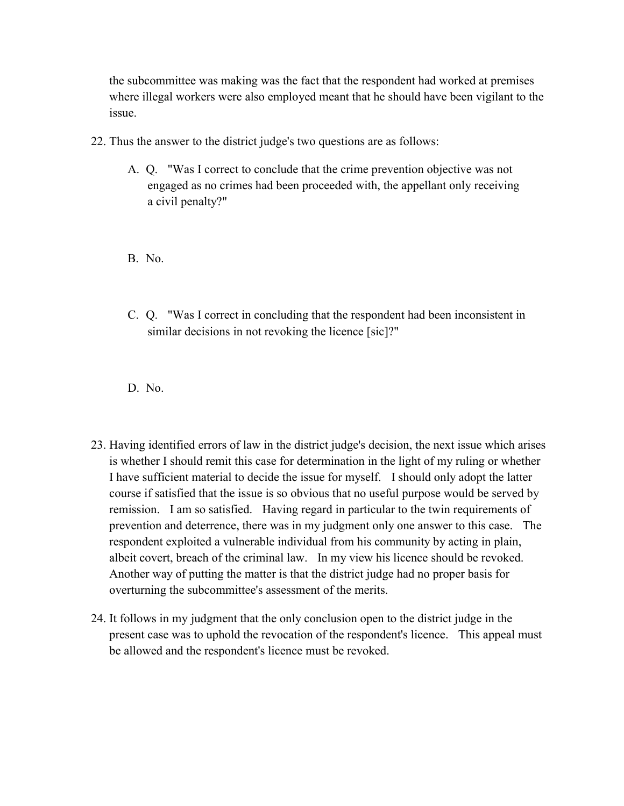the subcommittee was making was the fact that the respondent had worked at premises where illegal workers were also employed meant that he should have been vigilant to the issue.

- 22. Thus the answer to the district judge's two questions are as follows:
	- A. Q. "Was I correct to conclude that the crime prevention objective was not engaged as no crimes had been proceeded with, the appellant only receiving a civil penalty?"

B. No.

C. Q. "Was I correct in concluding that the respondent had been inconsistent in similar decisions in not revoking the licence [sic]?"

D. No.

- 23. Having identified errors of law in the district judge's decision, the next issue which arises is whether I should remit this case for determination in the light of my ruling or whether I have sufficient material to decide the issue for myself. I should only adopt the latter course if satisfied that the issue is so obvious that no useful purpose would be served by remission. I am so satisfied. Having regard in particular to the twin requirements of prevention and deterrence, there was in my judgment only one answer to this case. The respondent exploited a vulnerable individual from his community by acting in plain, albeit covert, breach of the criminal law. In my view his licence should be revoked. Another way of putting the matter is that the district judge had no proper basis for overturning the subcommittee's assessment of the merits.
- 24. It follows in my judgment that the only conclusion open to the district judge in the present case was to uphold the revocation of the respondent's licence. This appeal must be allowed and the respondent's licence must be revoked.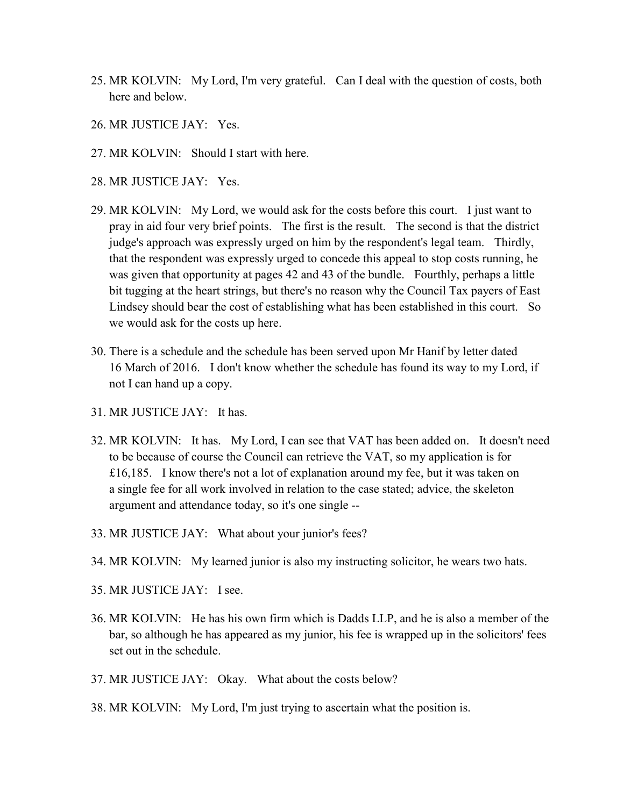- 25. MR KOLVIN: My Lord, I'm very grateful. Can I deal with the question of costs, both here and below.
- 26. MR JUSTICE JAY: Yes.
- 27. MR KOLVIN: Should I start with here.
- 28. MR JUSTICE JAY: Yes.
- 29. MR KOLVIN: My Lord, we would ask for the costs before this court. I just want to pray in aid four very brief points. The first is the result. The second is that the district judge's approach was expressly urged on him by the respondent's legal team. Thirdly, that the respondent was expressly urged to concede this appeal to stop costs running, he was given that opportunity at pages 42 and 43 of the bundle. Fourthly, perhaps a little bit tugging at the heart strings, but there's no reason why the Council Tax payers of East Lindsey should bear the cost of establishing what has been established in this court. So we would ask for the costs up here.
- 30. There is a schedule and the schedule has been served upon Mr Hanif by letter dated 16 March of 2016. I don't know whether the schedule has found its way to my Lord, if not I can hand up a copy.
- 31. MR JUSTICE JAY: It has.
- 32. MR KOLVIN: It has. My Lord, I can see that VAT has been added on. It doesn't need to be because of course the Council can retrieve the VAT, so my application is for £16,185. I know there's not a lot of explanation around my fee, but it was taken on a single fee for all work involved in relation to the case stated; advice, the skeleton argument and attendance today, so it's one single --
- 33. MR JUSTICE JAY: What about your junior's fees?
- 34. MR KOLVIN: My learned junior is also my instructing solicitor, he wears two hats.
- 35. MR JUSTICE JAY: I see.
- 36. MR KOLVIN: He has his own firm which is Dadds LLP, and he is also a member of the bar, so although he has appeared as my junior, his fee is wrapped up in the solicitors' fees set out in the schedule.
- 37. MR JUSTICE JAY: Okay. What about the costs below?
- 38. MR KOLVIN: My Lord, I'm just trying to ascertain what the position is.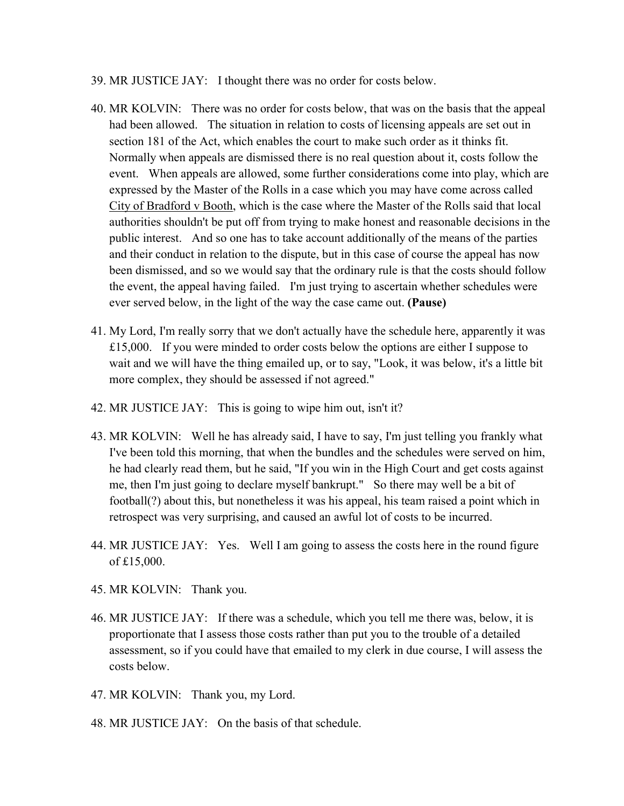- 39. MR JUSTICE JAY: I thought there was no order for costs below.
- 40. MR KOLVIN: There was no order for costs below, that was on the basis that the appeal had been allowed. The situation in relation to costs of licensing appeals are set out in section 181 of the Act, which enables the court to make such order as it thinks fit. Normally when appeals are dismissed there is no real question about it, costs follow the event. When appeals are allowed, some further considerations come into play, which are expressed by the Master of the Rolls in a case which you may have come across called City of Bradford v Booth, which is the case where the Master of the Rolls said that local authorities shouldn't be put off from trying to make honest and reasonable decisions in the public interest. And so one has to take account additionally of the means of the parties and their conduct in relation to the dispute, but in this case of course the appeal has now been dismissed, and so we would say that the ordinary rule is that the costs should follow the event, the appeal having failed. I'm just trying to ascertain whether schedules were ever served below, in the light of the way the case came out. **(Pause)**
- 41. My Lord, I'm really sorry that we don't actually have the schedule here, apparently it was £15,000. If you were minded to order costs below the options are either I suppose to wait and we will have the thing emailed up, or to say, "Look, it was below, it's a little bit more complex, they should be assessed if not agreed."
- 42. MR JUSTICE JAY: This is going to wipe him out, isn't it?
- 43. MR KOLVIN: Well he has already said, I have to say, I'm just telling you frankly what I've been told this morning, that when the bundles and the schedules were served on him, he had clearly read them, but he said, "If you win in the High Court and get costs against me, then I'm just going to declare myself bankrupt." So there may well be a bit of football(?) about this, but nonetheless it was his appeal, his team raised a point which in retrospect was very surprising, and caused an awful lot of costs to be incurred.
- 44. MR JUSTICE JAY: Yes. Well I am going to assess the costs here in the round figure of £15,000.
- 45. MR KOLVIN: Thank you.
- 46. MR JUSTICE JAY: If there was a schedule, which you tell me there was, below, it is proportionate that I assess those costs rather than put you to the trouble of a detailed assessment, so if you could have that emailed to my clerk in due course, I will assess the costs below.
- 47. MR KOLVIN: Thank you, my Lord.
- 48. MR JUSTICE JAY: On the basis of that schedule.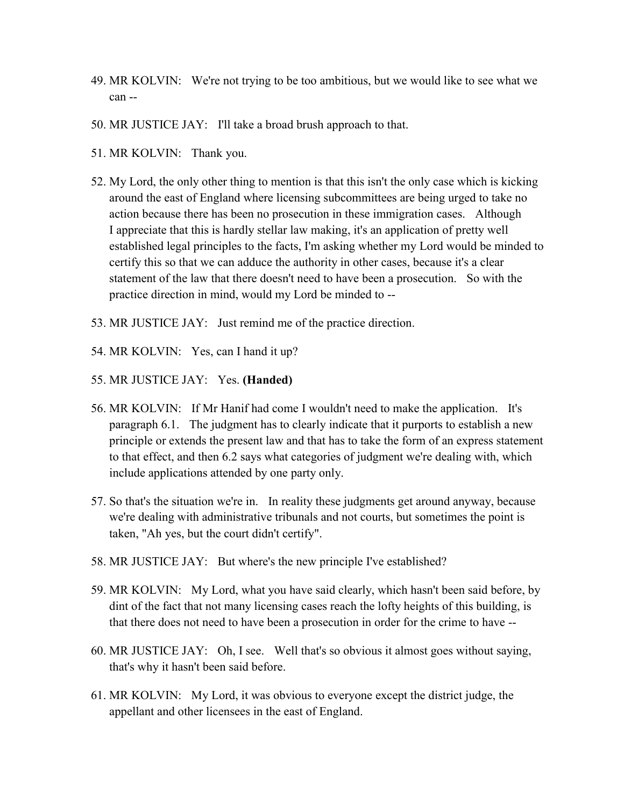- 49. MR KOLVIN: We're not trying to be too ambitious, but we would like to see what we can --
- 50. MR JUSTICE JAY: I'll take a broad brush approach to that.
- 51. MR KOLVIN: Thank you.
- 52. My Lord, the only other thing to mention is that this isn't the only case which is kicking around the east of England where licensing subcommittees are being urged to take no action because there has been no prosecution in these immigration cases. Although I appreciate that this is hardly stellar law making, it's an application of pretty well established legal principles to the facts, I'm asking whether my Lord would be minded to certify this so that we can adduce the authority in other cases, because it's a clear statement of the law that there doesn't need to have been a prosecution. So with the practice direction in mind, would my Lord be minded to --
- 53. MR JUSTICE JAY: Just remind me of the practice direction.
- 54. MR KOLVIN: Yes, can I hand it up?
- 55. MR JUSTICE JAY: Yes. **(Handed)**
- 56. MR KOLVIN: If Mr Hanif had come I wouldn't need to make the application. It's paragraph 6.1. The judgment has to clearly indicate that it purports to establish a new principle or extends the present law and that has to take the form of an express statement to that effect, and then 6.2 says what categories of judgment we're dealing with, which include applications attended by one party only.
- 57. So that's the situation we're in. In reality these judgments get around anyway, because we're dealing with administrative tribunals and not courts, but sometimes the point is taken, "Ah yes, but the court didn't certify".
- 58. MR JUSTICE JAY: But where's the new principle I've established?
- 59. MR KOLVIN: My Lord, what you have said clearly, which hasn't been said before, by dint of the fact that not many licensing cases reach the lofty heights of this building, is that there does not need to have been a prosecution in order for the crime to have --
- 60. MR JUSTICE JAY: Oh, I see. Well that's so obvious it almost goes without saying, that's why it hasn't been said before.
- 61. MR KOLVIN: My Lord, it was obvious to everyone except the district judge, the appellant and other licensees in the east of England.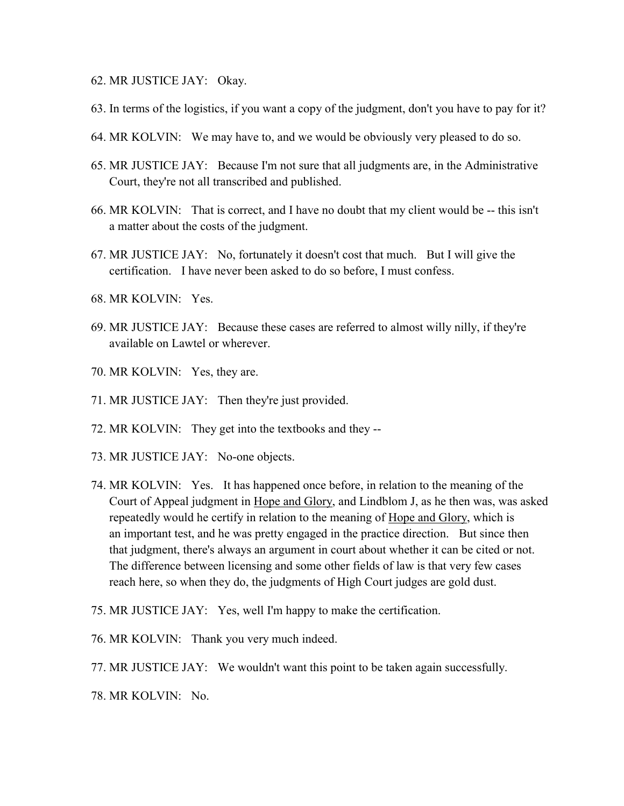- 62. MR JUSTICE JAY: Okay.
- 63. In terms of the logistics, if you want a copy of the judgment, don't you have to pay for it?
- 64. MR KOLVIN: We may have to, and we would be obviously very pleased to do so.
- 65. MR JUSTICE JAY: Because I'm not sure that all judgments are, in the Administrative Court, they're not all transcribed and published.
- 66. MR KOLVIN: That is correct, and I have no doubt that my client would be -- this isn't a matter about the costs of the judgment.
- 67. MR JUSTICE JAY: No, fortunately it doesn't cost that much. But I will give the certification. I have never been asked to do so before, I must confess.
- 68. MR KOLVIN: Yes.
- 69. MR JUSTICE JAY: Because these cases are referred to almost willy nilly, if they're available on Lawtel or wherever.
- 70. MR KOLVIN: Yes, they are.
- 71. MR JUSTICE JAY: Then they're just provided.
- 72. MR KOLVIN: They get into the textbooks and they --
- 73. MR JUSTICE JAY: No-one objects.
- 74. MR KOLVIN: Yes. It has happened once before, in relation to the meaning of the Court of Appeal judgment in Hope and Glory, and Lindblom J, as he then was, was asked repeatedly would he certify in relation to the meaning of Hope and Glory, which is an important test, and he was pretty engaged in the practice direction. But since then that judgment, there's always an argument in court about whether it can be cited or not. The difference between licensing and some other fields of law is that very few cases reach here, so when they do, the judgments of High Court judges are gold dust.
- 75. MR JUSTICE JAY: Yes, well I'm happy to make the certification.
- 76. MR KOLVIN: Thank you very much indeed.
- 77. MR JUSTICE JAY: We wouldn't want this point to be taken again successfully.

78. MR KOLVIN: No.